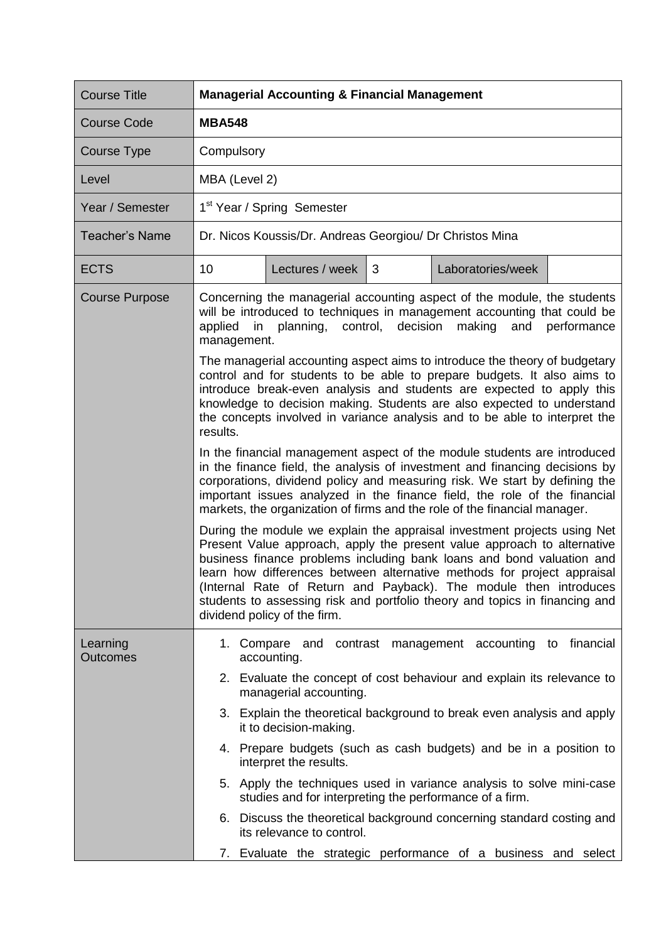| <b>Course Title</b>         | <b>Managerial Accounting &amp; Financial Management</b>                                                                                                                                                                                                                                                                                                                                                                                                                                     |  |  |  |  |  |
|-----------------------------|---------------------------------------------------------------------------------------------------------------------------------------------------------------------------------------------------------------------------------------------------------------------------------------------------------------------------------------------------------------------------------------------------------------------------------------------------------------------------------------------|--|--|--|--|--|
| <b>Course Code</b>          | <b>MBA548</b>                                                                                                                                                                                                                                                                                                                                                                                                                                                                               |  |  |  |  |  |
| Course Type                 | Compulsory                                                                                                                                                                                                                                                                                                                                                                                                                                                                                  |  |  |  |  |  |
| Level                       | MBA (Level 2)                                                                                                                                                                                                                                                                                                                                                                                                                                                                               |  |  |  |  |  |
| Year / Semester             | 1 <sup>st</sup> Year / Spring Semester                                                                                                                                                                                                                                                                                                                                                                                                                                                      |  |  |  |  |  |
| <b>Teacher's Name</b>       | Dr. Nicos Koussis/Dr. Andreas Georgiou/ Dr Christos Mina                                                                                                                                                                                                                                                                                                                                                                                                                                    |  |  |  |  |  |
| <b>ECTS</b>                 | 10<br>Lectures / week<br>3<br>Laboratories/week                                                                                                                                                                                                                                                                                                                                                                                                                                             |  |  |  |  |  |
| <b>Course Purpose</b>       | Concerning the managerial accounting aspect of the module, the students<br>will be introduced to techniques in management accounting that could be<br>planning,<br>control,<br>decision<br>making<br>performance<br>applied<br>and<br>in<br>management.                                                                                                                                                                                                                                     |  |  |  |  |  |
|                             | The managerial accounting aspect aims to introduce the theory of budgetary<br>control and for students to be able to prepare budgets. It also aims to<br>introduce break-even analysis and students are expected to apply this<br>knowledge to decision making. Students are also expected to understand<br>the concepts involved in variance analysis and to be able to interpret the<br>results.                                                                                          |  |  |  |  |  |
|                             | In the financial management aspect of the module students are introduced<br>in the finance field, the analysis of investment and financing decisions by<br>corporations, dividend policy and measuring risk. We start by defining the<br>important issues analyzed in the finance field, the role of the financial<br>markets, the organization of firms and the role of the financial manager.                                                                                             |  |  |  |  |  |
|                             | During the module we explain the appraisal investment projects using Net<br>Present Value approach, apply the present value approach to alternative<br>business finance problems including bank loans and bond valuation and<br>learn how differences between alternative methods for project appraisal<br>(Internal Rate of Return and Payback). The module then introduces<br>students to assessing risk and portfolio theory and topics in financing and<br>dividend policy of the firm. |  |  |  |  |  |
| Learning<br><b>Outcomes</b> | 1. Compare and contrast management accounting to financial<br>accounting.                                                                                                                                                                                                                                                                                                                                                                                                                   |  |  |  |  |  |
|                             | 2. Evaluate the concept of cost behaviour and explain its relevance to<br>managerial accounting.                                                                                                                                                                                                                                                                                                                                                                                            |  |  |  |  |  |
|                             | 3. Explain the theoretical background to break even analysis and apply<br>it to decision-making.                                                                                                                                                                                                                                                                                                                                                                                            |  |  |  |  |  |
|                             | 4. Prepare budgets (such as cash budgets) and be in a position to<br>interpret the results.                                                                                                                                                                                                                                                                                                                                                                                                 |  |  |  |  |  |
|                             | 5. Apply the techniques used in variance analysis to solve mini-case<br>studies and for interpreting the performance of a firm.                                                                                                                                                                                                                                                                                                                                                             |  |  |  |  |  |
|                             | 6. Discuss the theoretical background concerning standard costing and<br>its relevance to control.                                                                                                                                                                                                                                                                                                                                                                                          |  |  |  |  |  |
|                             | Evaluate the strategic performance of a business and select<br>7.                                                                                                                                                                                                                                                                                                                                                                                                                           |  |  |  |  |  |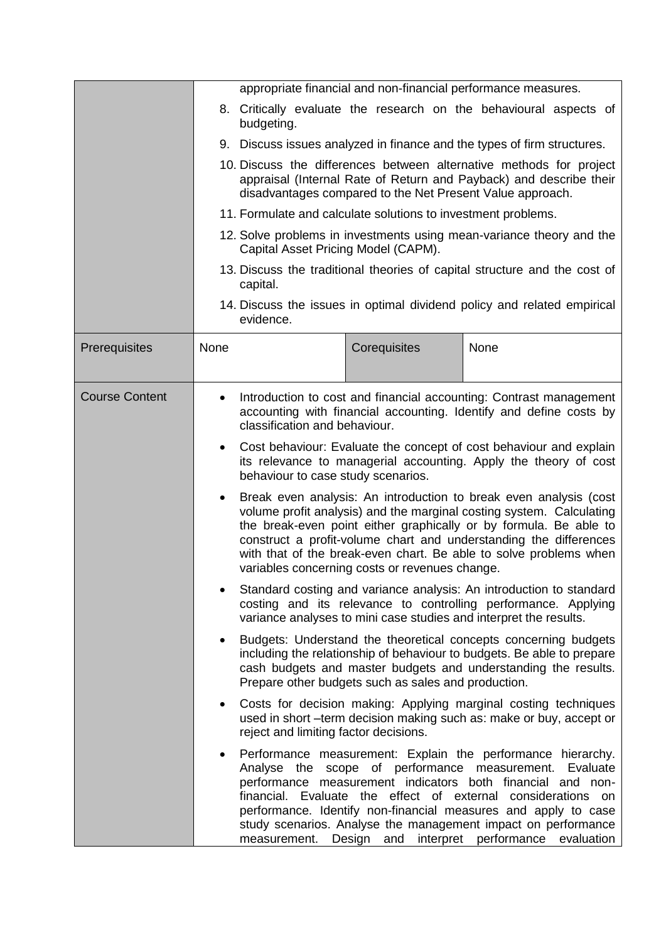|                       | appropriate financial and non-financial performance measures.                                                                                                                                                                                                                                                                                                                                                           |                                                                                                                                                                                                        |                                                     |                                                                                                                                                                                                                                                                                                                                                                                                            |  |  |
|-----------------------|-------------------------------------------------------------------------------------------------------------------------------------------------------------------------------------------------------------------------------------------------------------------------------------------------------------------------------------------------------------------------------------------------------------------------|--------------------------------------------------------------------------------------------------------------------------------------------------------------------------------------------------------|-----------------------------------------------------|------------------------------------------------------------------------------------------------------------------------------------------------------------------------------------------------------------------------------------------------------------------------------------------------------------------------------------------------------------------------------------------------------------|--|--|
|                       |                                                                                                                                                                                                                                                                                                                                                                                                                         | budgeting.                                                                                                                                                                                             |                                                     | 8. Critically evaluate the research on the behavioural aspects of                                                                                                                                                                                                                                                                                                                                          |  |  |
|                       |                                                                                                                                                                                                                                                                                                                                                                                                                         | 9. Discuss issues analyzed in finance and the types of firm structures.                                                                                                                                |                                                     |                                                                                                                                                                                                                                                                                                                                                                                                            |  |  |
|                       |                                                                                                                                                                                                                                                                                                                                                                                                                         | 10. Discuss the differences between alternative methods for project<br>appraisal (Internal Rate of Return and Payback) and describe their<br>disadvantages compared to the Net Present Value approach. |                                                     |                                                                                                                                                                                                                                                                                                                                                                                                            |  |  |
|                       |                                                                                                                                                                                                                                                                                                                                                                                                                         | 11. Formulate and calculate solutions to investment problems.                                                                                                                                          |                                                     |                                                                                                                                                                                                                                                                                                                                                                                                            |  |  |
|                       | 12. Solve problems in investments using mean-variance theory and the<br>Capital Asset Pricing Model (CAPM).                                                                                                                                                                                                                                                                                                             |                                                                                                                                                                                                        |                                                     |                                                                                                                                                                                                                                                                                                                                                                                                            |  |  |
|                       |                                                                                                                                                                                                                                                                                                                                                                                                                         | capital.                                                                                                                                                                                               |                                                     | 13. Discuss the traditional theories of capital structure and the cost of                                                                                                                                                                                                                                                                                                                                  |  |  |
|                       |                                                                                                                                                                                                                                                                                                                                                                                                                         | evidence.                                                                                                                                                                                              |                                                     | 14. Discuss the issues in optimal dividend policy and related empirical                                                                                                                                                                                                                                                                                                                                    |  |  |
| Prerequisites         | None                                                                                                                                                                                                                                                                                                                                                                                                                    |                                                                                                                                                                                                        | Corequisites                                        | None                                                                                                                                                                                                                                                                                                                                                                                                       |  |  |
| <b>Course Content</b> | Introduction to cost and financial accounting: Contrast management<br>accounting with financial accounting. Identify and define costs by<br>classification and behaviour.                                                                                                                                                                                                                                               |                                                                                                                                                                                                        |                                                     |                                                                                                                                                                                                                                                                                                                                                                                                            |  |  |
|                       | $\bullet$                                                                                                                                                                                                                                                                                                                                                                                                               | Cost behaviour: Evaluate the concept of cost behaviour and explain<br>its relevance to managerial accounting. Apply the theory of cost<br>behaviour to case study scenarios.                           |                                                     |                                                                                                                                                                                                                                                                                                                                                                                                            |  |  |
|                       | Break even analysis: An introduction to break even analysis (cost<br>$\bullet$<br>volume profit analysis) and the marginal costing system. Calculating<br>the break-even point either graphically or by formula. Be able to<br>construct a profit-volume chart and understanding the differences<br>with that of the break-even chart. Be able to solve problems when<br>variables concerning costs or revenues change. |                                                                                                                                                                                                        |                                                     |                                                                                                                                                                                                                                                                                                                                                                                                            |  |  |
|                       |                                                                                                                                                                                                                                                                                                                                                                                                                         |                                                                                                                                                                                                        |                                                     | Standard costing and variance analysis: An introduction to standard<br>costing and its relevance to controlling performance. Applying<br>variance analyses to mini case studies and interpret the results.                                                                                                                                                                                                 |  |  |
|                       | $\bullet$                                                                                                                                                                                                                                                                                                                                                                                                               |                                                                                                                                                                                                        | Prepare other budgets such as sales and production. | Budgets: Understand the theoretical concepts concerning budgets<br>including the relationship of behaviour to budgets. Be able to prepare<br>cash budgets and master budgets and understanding the results.                                                                                                                                                                                                |  |  |
|                       | $\bullet$                                                                                                                                                                                                                                                                                                                                                                                                               | reject and limiting factor decisions.                                                                                                                                                                  |                                                     | Costs for decision making: Applying marginal costing techniques<br>used in short -term decision making such as: make or buy, accept or                                                                                                                                                                                                                                                                     |  |  |
|                       | ٠                                                                                                                                                                                                                                                                                                                                                                                                                       | financial.                                                                                                                                                                                             | Evaluate the effect of external                     | Performance measurement: Explain the performance hierarchy.<br>Analyse the scope of performance measurement. Evaluate<br>performance measurement indicators both financial and non-<br>considerations<br>on<br>performance. Identify non-financial measures and apply to case<br>study scenarios. Analyse the management impact on performance<br>measurement. Design and interpret performance evaluation |  |  |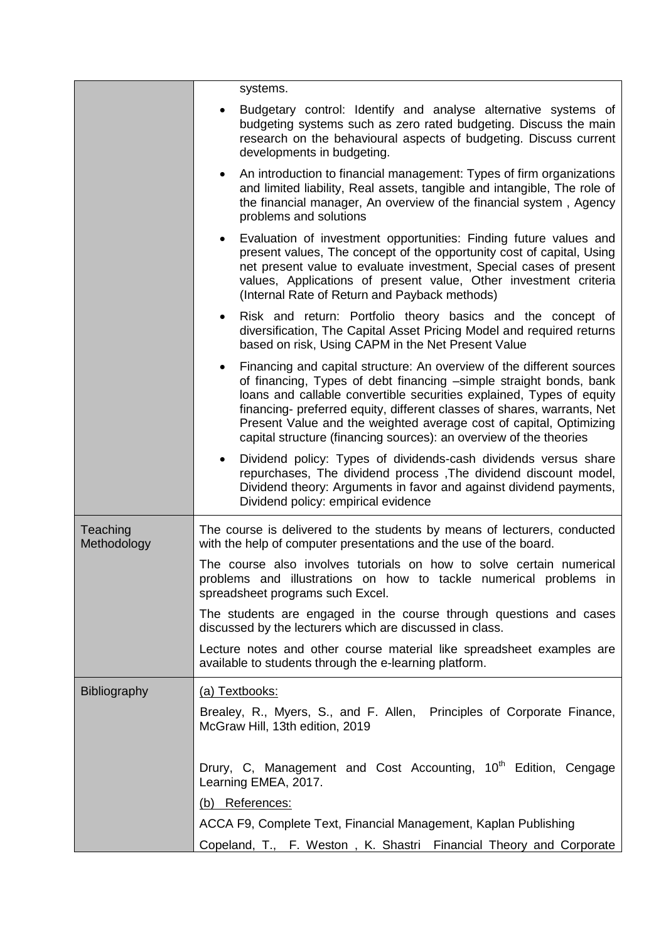|                         | systems.                                                                                                                                                                                                                                                                                                                                                                                                                                   |
|-------------------------|--------------------------------------------------------------------------------------------------------------------------------------------------------------------------------------------------------------------------------------------------------------------------------------------------------------------------------------------------------------------------------------------------------------------------------------------|
|                         | Budgetary control: Identify and analyse alternative systems of<br>$\bullet$<br>budgeting systems such as zero rated budgeting. Discuss the main<br>research on the behavioural aspects of budgeting. Discuss current<br>developments in budgeting.                                                                                                                                                                                         |
|                         | An introduction to financial management: Types of firm organizations<br>٠<br>and limited liability, Real assets, tangible and intangible, The role of<br>the financial manager, An overview of the financial system, Agency<br>problems and solutions                                                                                                                                                                                      |
|                         | Evaluation of investment opportunities: Finding future values and<br>present values, The concept of the opportunity cost of capital, Using<br>net present value to evaluate investment, Special cases of present<br>values, Applications of present value, Other investment criteria<br>(Internal Rate of Return and Payback methods)                                                                                                      |
|                         | Risk and return: Portfolio theory basics and the concept of<br>diversification, The Capital Asset Pricing Model and required returns<br>based on risk, Using CAPM in the Net Present Value                                                                                                                                                                                                                                                 |
|                         | Financing and capital structure: An overview of the different sources<br>of financing, Types of debt financing -simple straight bonds, bank<br>loans and callable convertible securities explained, Types of equity<br>financing- preferred equity, different classes of shares, warrants, Net<br>Present Value and the weighted average cost of capital, Optimizing<br>capital structure (financing sources): an overview of the theories |
|                         | Dividend policy: Types of dividends-cash dividends versus share<br>$\bullet$<br>repurchases, The dividend process, The dividend discount model,<br>Dividend theory: Arguments in favor and against dividend payments,<br>Dividend policy: empirical evidence                                                                                                                                                                               |
| Teaching<br>Methodology | The course is delivered to the students by means of lecturers, conducted<br>with the help of computer presentations and the use of the board.                                                                                                                                                                                                                                                                                              |
|                         | The course also involves tutorials on how to solve certain numerical<br>problems and illustrations on how to tackle numerical problems in<br>spreadsheet programs such Excel.                                                                                                                                                                                                                                                              |
|                         | The students are engaged in the course through questions and cases<br>discussed by the lecturers which are discussed in class.                                                                                                                                                                                                                                                                                                             |
|                         | Lecture notes and other course material like spreadsheet examples are<br>available to students through the e-learning platform.                                                                                                                                                                                                                                                                                                            |
| <b>Bibliography</b>     | (a) Textbooks:                                                                                                                                                                                                                                                                                                                                                                                                                             |
|                         | Brealey, R., Myers, S., and F. Allen, Principles of Corporate Finance,<br>McGraw Hill, 13th edition, 2019                                                                                                                                                                                                                                                                                                                                  |
|                         | Drury, C, Management and Cost Accounting, 10 <sup>th</sup> Edition, Cengage<br>Learning EMEA, 2017.                                                                                                                                                                                                                                                                                                                                        |
|                         | (b) References:                                                                                                                                                                                                                                                                                                                                                                                                                            |
|                         | ACCA F9, Complete Text, Financial Management, Kaplan Publishing                                                                                                                                                                                                                                                                                                                                                                            |
|                         | Copeland, T., F. Weston, K. Shastri Financial Theory and Corporate                                                                                                                                                                                                                                                                                                                                                                         |